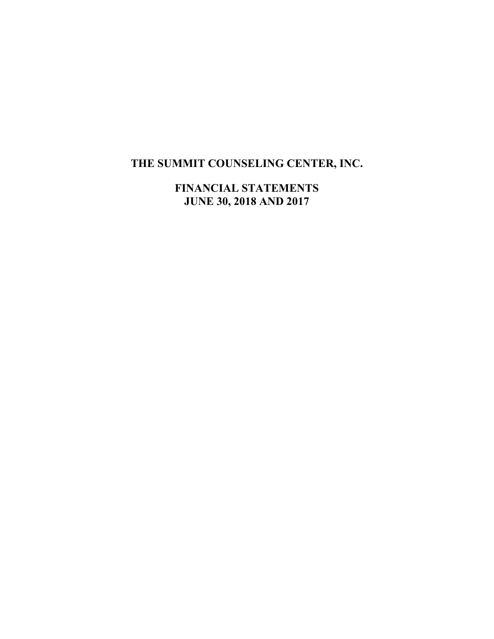**THE SUMMIT COUNSELING CENTER, INC.**

**FINANCIAL STATEMENTS JUNE 30, 2018 AND 2017**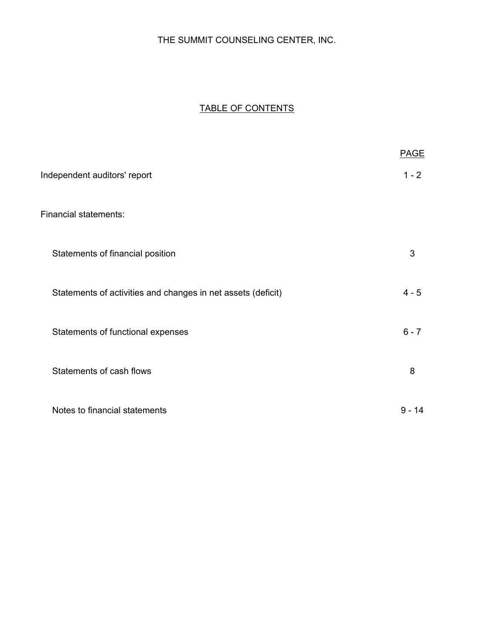# THE SUMMIT COUNSELING CENTER, INC.

# TABLE OF CONTENTS

|                                                              | <b>PAGE</b> |
|--------------------------------------------------------------|-------------|
| Independent auditors' report                                 | $1 - 2$     |
| <b>Financial statements:</b>                                 |             |
| Statements of financial position                             | 3           |
| Statements of activities and changes in net assets (deficit) | $4 - 5$     |
| Statements of functional expenses                            | $6 - 7$     |
| Statements of cash flows                                     | 8           |
| Notes to financial statements                                | $9 - 14$    |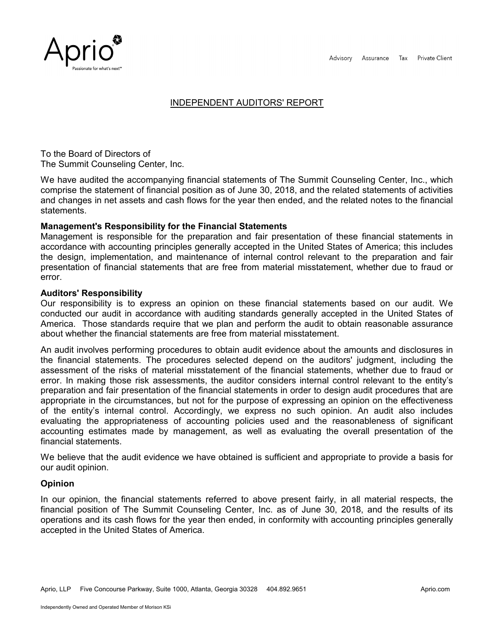

## INDEPENDENT AUDITORS' REPORT

To the Board of Directors of The Summit Counseling Center, Inc.

We have audited the accompanying financial statements of The Summit Counseling Center, Inc., which comprise the statement of financial position as of June 30, 2018, and the related statements of activities and changes in net assets and cash flows for the year then ended, and the related notes to the financial statements.

## **Management's Responsibility for the Financial Statements**

Management is responsible for the preparation and fair presentation of these financial statements in accordance with accounting principles generally accepted in the United States of America; this includes the design, implementation, and maintenance of internal control relevant to the preparation and fair presentation of financial statements that are free from material misstatement, whether due to fraud or error.

#### **Auditors' Responsibility**

Our responsibility is to express an opinion on these financial statements based on our audit. We conducted our audit in accordance with auditing standards generally accepted in the United States of America. Those standards require that we plan and perform the audit to obtain reasonable assurance about whether the financial statements are free from material misstatement.

An audit involves performing procedures to obtain audit evidence about the amounts and disclosures in the financial statements. The procedures selected depend on the auditors' judgment, including the assessment of the risks of material misstatement of the financial statements, whether due to fraud or error. In making those risk assessments, the auditor considers internal control relevant to the entity's preparation and fair presentation of the financial statements in order to design audit procedures that are appropriate in the circumstances, but not for the purpose of expressing an opinion on the effectiveness of the entity's internal control. Accordingly, we express no such opinion. An audit also includes evaluating the appropriateness of accounting policies used and the reasonableness of significant accounting estimates made by management, as well as evaluating the overall presentation of the financial statements.

We believe that the audit evidence we have obtained is sufficient and appropriate to provide a basis for our audit opinion.

#### **Opinion**

In our opinion, the financial statements referred to above present fairly, in all material respects, the financial position of The Summit Counseling Center, Inc. as of June 30, 2018, and the results of its operations and its cash flows for the year then ended, in conformity with accounting principles generally accepted in the United States of America.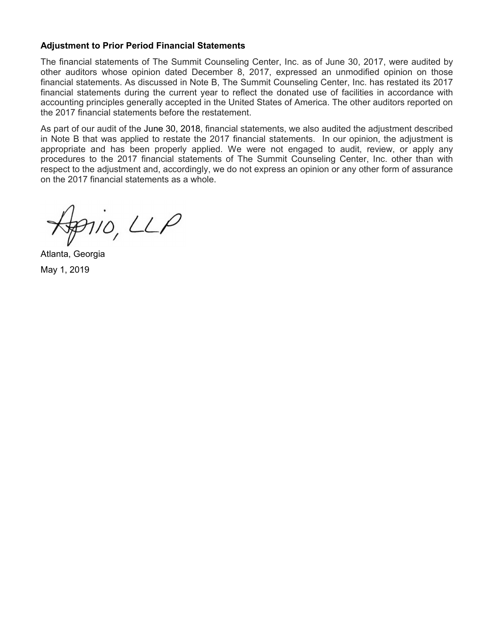## **Adjustment to Prior Period Financial Statements**

The financial statements of The Summit Counseling Center, Inc. as of June 30, 2017, were audited by other auditors whose opinion dated December 8, 2017, expressed an unmodified opinion on those financial statements. As discussed in Note B, The Summit Counseling Center, Inc. has restated its 2017 financial statements during the current year to reflect the donated use of facilities in accordance with accounting principles generally accepted in the United States of America. The other auditors reported on the 2017 financial statements before the restatement.

As part of our audit of the June 30, 2018, financial statements, we also audited the adjustment described in Note B that was applied to restate the 2017 financial statements. In our opinion, the adjustment is appropriate and has been properly applied. We were not engaged to audit, review, or apply any procedures to the 2017 financial statements of The Summit Counseling Center, Inc. other than with respect to the adjustment and, accordingly, we do not express an opinion or any other form of assurance on the 2017 financial statements as a whole.

 $7110, LLP$ 

Atlanta, Georgia May 1, 2019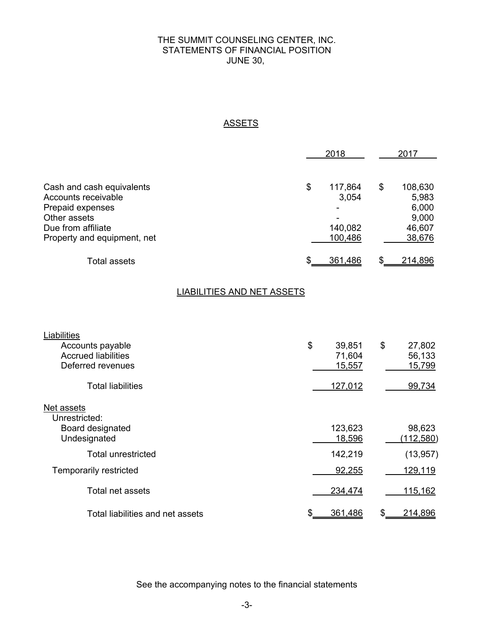## THE SUMMIT COUNSELING CENTER, INC. STATEMENTS OF FINANCIAL POSITION JUNE 30,

## **ASSETS**

|                             | 2018          |    |         |  |  |
|-----------------------------|---------------|----|---------|--|--|
| Cash and cash equivalents   | \$<br>117,864 | \$ | 108,630 |  |  |
| <b>Accounts receivable</b>  | 3,054         |    | 5,983   |  |  |
| Prepaid expenses            |               |    | 6,000   |  |  |
| Other assets                |               |    | 9,000   |  |  |
| Due from affiliate          | 140,082       |    | 46,607  |  |  |
| Property and equipment, net | 100,486       |    | 38,676  |  |  |
| Total assets                | \$<br>361,486 |    | 214,896 |  |  |

## LIABILITIES AND NET ASSETS

| Liabilities                      |              |                |
|----------------------------------|--------------|----------------|
| Accounts payable                 | \$<br>39,851 | \$<br>27,802   |
| <b>Accrued liabilities</b>       | 71,604       | 56,133         |
| Deferred revenues                | 15,557       | 15,799         |
| <b>Total liabilities</b>         | 127,012      | 99,734         |
| Net assets                       |              |                |
| Unrestricted:                    |              |                |
| Board designated                 | 123,623      | 98,623         |
| Undesignated                     | 18,596       | (112,580)      |
| <b>Total unrestricted</b>        | 142,219      | (13, 957)      |
| Temporarily restricted           | 92,255       | 129,119        |
| Total net assets                 | 234,474      | <u>115,162</u> |
| Total liabilities and net assets | 361,486      | \$<br>214,896  |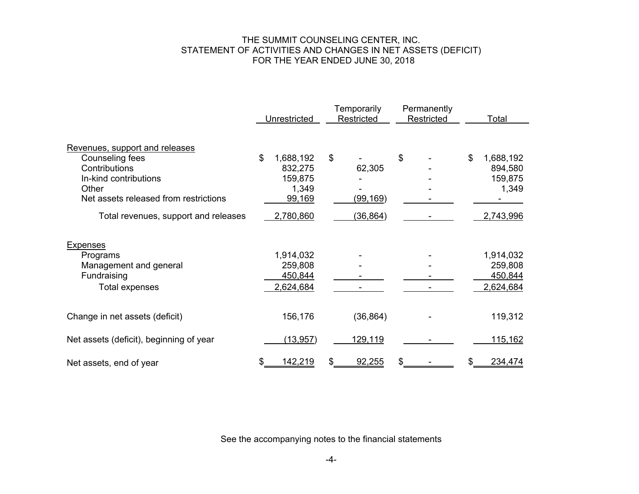## THE SUMMIT COUNSELING CENTER, INC. STATEMENT OF ACTIVITIES AND CHANGES IN NET ASSETS (DEFICIT) FOR THE YEAR ENDED JUNE 30, 2018

|                                                                                                                                               | Unrestricted                                             | Temporarily<br>Restricted             | Permanently<br>Restricted | Total                                          |
|-----------------------------------------------------------------------------------------------------------------------------------------------|----------------------------------------------------------|---------------------------------------|---------------------------|------------------------------------------------|
| Revenues, support and releases<br>Counseling fees<br>Contributions<br>In-kind contributions<br>Other<br>Net assets released from restrictions | \$<br>1,688,192<br>832,275<br>159,875<br>1,349<br>99,169 | $\mathfrak{S}$<br>62,305<br>(99, 169) | \$                        | \$<br>1,688,192<br>894,580<br>159,875<br>1,349 |
| Total revenues, support and releases                                                                                                          | 2,780,860                                                | (36, 864)                             |                           | 2,743,996                                      |
| <b>Expenses</b><br>Programs<br>Management and general<br>Fundraising<br>Total expenses                                                        | 1,914,032<br>259,808<br>450,844<br>2,624,684             |                                       |                           | 1,914,032<br>259,808<br>450,844<br>2,624,684   |
| Change in net assets (deficit)                                                                                                                | 156,176                                                  | (36, 864)                             |                           | 119,312                                        |
| Net assets (deficit), beginning of year                                                                                                       | (13, 957)                                                | <u>129,119</u>                        |                           | 115,162                                        |
| Net assets, end of year                                                                                                                       | 142,219                                                  | 92,255                                | \$                        | 234,474                                        |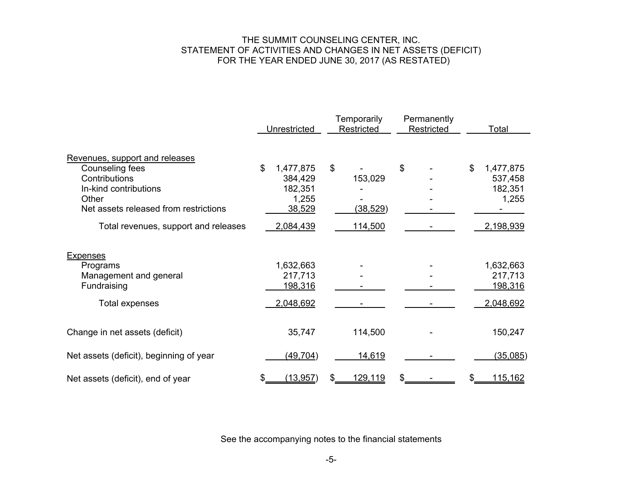## THE SUMMIT COUNSELING CENTER, INC. STATEMENT OF ACTIVITIES AND CHANGES IN NET ASSETS (DEFICIT) FOR THE YEAR ENDED JUNE 30, 2017 (AS RESTATED)

|                                         | Unrestricted    | Temporarily<br>Restricted | Permanently<br>Restricted | Total           |
|-----------------------------------------|-----------------|---------------------------|---------------------------|-----------------|
| Revenues, support and releases          |                 |                           |                           |                 |
| Counseling fees                         | \$<br>1,477,875 | \$                        | \$                        | \$<br>1,477,875 |
| Contributions                           | 384,429         | 153,029                   |                           | 537,458         |
| In-kind contributions                   | 182,351         |                           |                           | 182,351         |
| Other                                   | 1,255           |                           |                           | 1,255           |
| Net assets released from restrictions   | 38,529          | (38, 529)                 |                           |                 |
| Total revenues, support and releases    | 2,084,439       | 114,500                   |                           | 2,198,939       |
| <b>Expenses</b>                         |                 |                           |                           |                 |
| Programs                                | 1,632,663       |                           |                           | 1,632,663       |
| Management and general                  | 217,713         |                           |                           | 217,713         |
| Fundraising                             | <u>198,316</u>  |                           |                           | 198,316         |
| Total expenses                          | 2,048,692       |                           |                           | 2,048,692       |
| Change in net assets (deficit)          | 35,747          | 114,500                   |                           | 150,247         |
| Net assets (deficit), beginning of year | (49, 704)       | 14,619                    |                           | (35,085)        |
| Net assets (deficit), end of year       | (13, 957)<br>\$ | 129,119<br>S              | \$                        | 115,162<br>\$.  |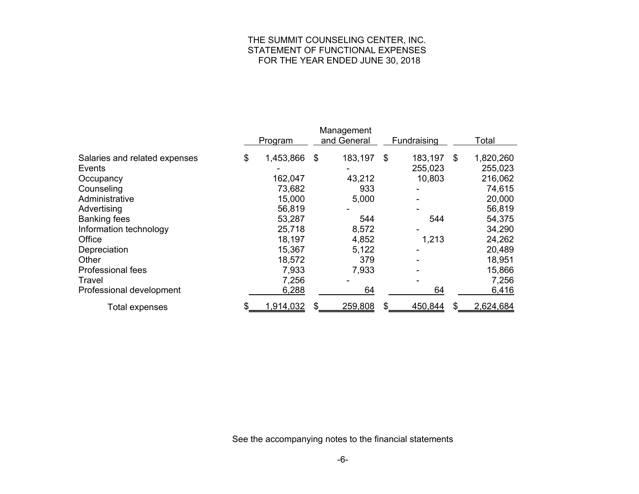## THE SUMMIT COUNSELING CENTER, INC. STATEMENT OF FUNCTIONAL EXPENSES FOR THE YEAR ENDED JUNE 30, 2018

|                               |    | Program   | Management<br>and General |         |    | Fundraising | Total |           |
|-------------------------------|----|-----------|---------------------------|---------|----|-------------|-------|-----------|
| Salaries and related expenses | \$ | 1,453,866 | -S                        | 183,197 | \$ | 183,197     | \$    | 1,820,260 |
| Events                        |    |           |                           |         |    | 255,023     |       | 255,023   |
| Occupancy                     |    | 162,047   |                           | 43,212  |    | 10,803      |       | 216,062   |
| Counseling                    |    | 73,682    |                           | 933     |    |             |       | 74,615    |
| Administrative                |    | 15,000    |                           | 5,000   |    |             |       | 20,000    |
| Advertising                   |    | 56,819    |                           |         |    |             |       | 56,819    |
| <b>Banking fees</b>           |    | 53,287    |                           | 544     |    | 544         |       | 54,375    |
| Information technology        |    | 25,718    |                           | 8,572   |    |             |       | 34,290    |
| Office                        |    | 18,197    |                           | 4,852   |    | 1,213       |       | 24,262    |
| Depreciation                  |    | 15,367    |                           | 5,122   |    |             |       | 20,489    |
| Other                         |    | 18,572    |                           | 379     |    |             |       | 18,951    |
| <b>Professional fees</b>      |    | 7,933     |                           | 7,933   |    |             |       | 15,866    |
| Travel                        |    | 7,256     |                           |         |    |             |       | 7,256     |
| Professional development      |    | 6,288     |                           | 64      |    | 64          |       | 6,416     |
| Total expenses                |    | 1,914,032 |                           | 259,808 | S  | 450,844     | \$    | 2,624,684 |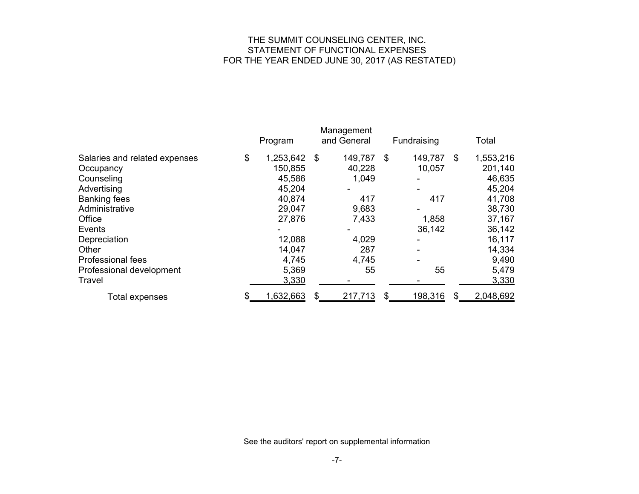## THE SUMMIT COUNSELING CENTER, INC. STATEMENT OF FUNCTIONAL EXPENSES FOR THE YEAR ENDED JUNE 30, 2017 (AS RESTATED)

|                               |    | Program   |    | Management<br>and General |    | Fundraising |    | <b>Total</b> |
|-------------------------------|----|-----------|----|---------------------------|----|-------------|----|--------------|
| Salaries and related expenses | \$ | 1,253,642 | \$ | 149,787                   | \$ | 149,787     | \$ | 1,553,216    |
| Occupancy                     |    | 150,855   |    | 40,228                    |    | 10,057      |    | 201,140      |
| Counseling                    |    | 45,586    |    | 1,049                     |    |             |    | 46,635       |
| Advertising                   |    | 45,204    |    |                           |    |             |    | 45,204       |
| <b>Banking fees</b>           |    | 40,874    |    | 417                       |    | 417         |    | 41,708       |
| Administrative                |    | 29,047    |    | 9,683                     |    |             |    | 38,730       |
| Office                        |    | 27,876    |    | 7,433                     |    | 1,858       |    | 37,167       |
| Events                        |    |           |    |                           |    | 36,142      |    | 36,142       |
| Depreciation                  |    | 12,088    |    | 4,029                     |    |             |    | 16,117       |
| Other                         |    | 14,047    |    | 287                       |    |             |    | 14,334       |
| <b>Professional fees</b>      |    | 4,745     |    | 4,745                     |    |             |    | 9,490        |
| Professional development      |    | 5,369     |    | 55                        |    | 55          |    | 5,479        |
| Travel                        |    | 3,330     |    |                           |    |             |    | 3,330        |
| Total expenses                | \$ | 1,632,663 | S  | 217,713                   | \$ | 198,316     | \$ | 2,048,692    |

See the auditors' report on supplemental information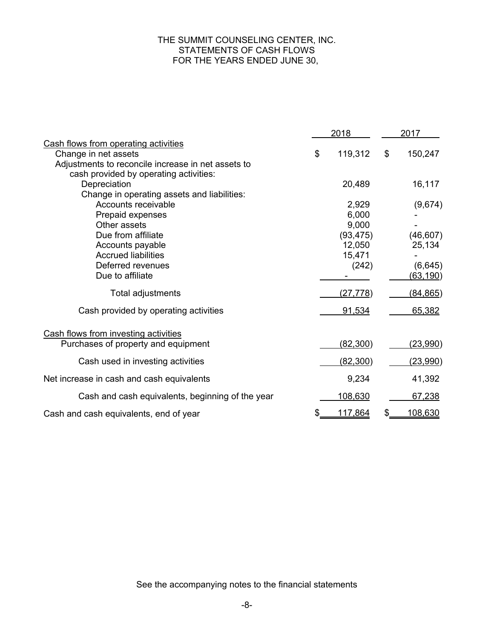## THE SUMMIT COUNSELING CENTER, INC. STATEMENTS OF CASH FLOWS FOR THE YEARS ENDED JUNE 30,

|                                                        | 2018          | 2017 |                 |  |
|--------------------------------------------------------|---------------|------|-----------------|--|
| Cash flows from operating activities                   |               |      |                 |  |
| Change in net assets                                   | \$<br>119,312 | \$   | 150,247         |  |
| Adjustments to reconcile increase in net assets to     |               |      |                 |  |
| cash provided by operating activities:<br>Depreciation | 20,489        |      | 16,117          |  |
| Change in operating assets and liabilities:            |               |      |                 |  |
| Accounts receivable                                    | 2,929         |      | (9,674)         |  |
| Prepaid expenses                                       | 6,000         |      |                 |  |
| Other assets                                           | 9,000         |      |                 |  |
| Due from affiliate                                     | (93, 475)     |      | (46, 607)       |  |
| Accounts payable                                       | 12,050        |      | 25,134          |  |
| <b>Accrued liabilities</b>                             | 15,471        |      |                 |  |
| Deferred revenues                                      | (242)         |      | (6, 645)        |  |
| Due to affiliate                                       |               |      | <u>(63,190)</u> |  |
| Total adjustments                                      | (27, 778)     |      | (84, 865)       |  |
| Cash provided by operating activities                  | 91,534        |      | 65,382          |  |
| Cash flows from investing activities                   |               |      |                 |  |
| Purchases of property and equipment                    | (82, 300)     |      | (23,990)        |  |
| Cash used in investing activities                      | (82, 300)     |      | (23,990)        |  |
| Net increase in cash and cash equivalents              | 9,234         |      | 41,392          |  |
| Cash and cash equivalents, beginning of the year       | 108,630       |      | 67,238          |  |
| Cash and cash equivalents, end of year                 | 117,864       | S    | 108,630         |  |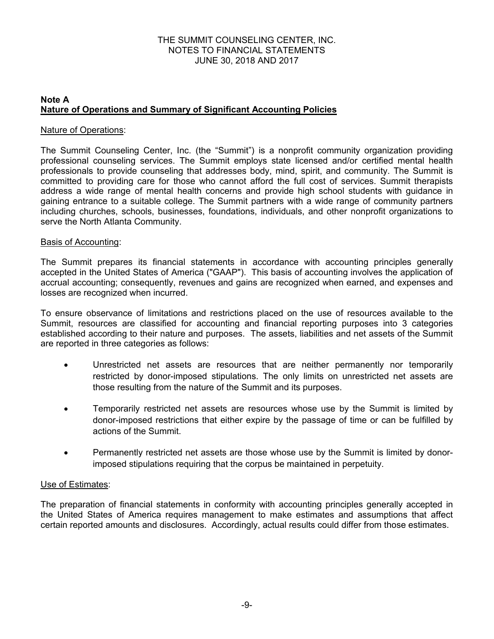## **Note A Nature of Operations and Summary of Significant Accounting Policies**

## Nature of Operations:

The Summit Counseling Center, Inc. (the "Summit") is a nonprofit community organization providing professional counseling services. The Summit employs state licensed and/or certified mental health professionals to provide counseling that addresses body, mind, spirit, and community. The Summit is committed to providing care for those who cannot afford the full cost of services. Summit therapists address a wide range of mental health concerns and provide high school students with guidance in gaining entrance to a suitable college. The Summit partners with a wide range of community partners including churches, schools, businesses, foundations, individuals, and other nonprofit organizations to serve the North Atlanta Community.

## Basis of Accounting:

The Summit prepares its financial statements in accordance with accounting principles generally accepted in the United States of America ("GAAP"). This basis of accounting involves the application of accrual accounting; consequently, revenues and gains are recognized when earned, and expenses and losses are recognized when incurred.

To ensure observance of limitations and restrictions placed on the use of resources available to the Summit, resources are classified for accounting and financial reporting purposes into 3 categories established according to their nature and purposes. The assets, liabilities and net assets of the Summit are reported in three categories as follows:

- Unrestricted net assets are resources that are neither permanently nor temporarily restricted by donor-imposed stipulations. The only limits on unrestricted net assets are those resulting from the nature of the Summit and its purposes.
- Temporarily restricted net assets are resources whose use by the Summit is limited by donor-imposed restrictions that either expire by the passage of time or can be fulfilled by actions of the Summit.
- Permanently restricted net assets are those whose use by the Summit is limited by donorimposed stipulations requiring that the corpus be maintained in perpetuity.

## Use of Estimates:

The preparation of financial statements in conformity with accounting principles generally accepted in the United States of America requires management to make estimates and assumptions that affect certain reported amounts and disclosures. Accordingly, actual results could differ from those estimates.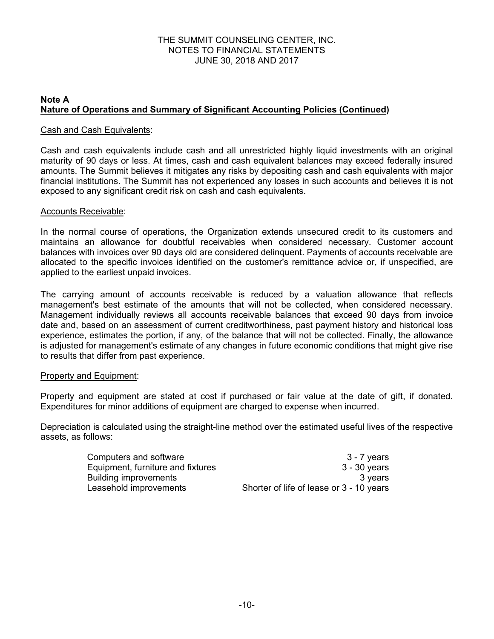## **Note A Nature of Operations and Summary of Significant Accounting Policies (Continued)**

#### Cash and Cash Equivalents:

Cash and cash equivalents include cash and all unrestricted highly liquid investments with an original maturity of 90 days or less. At times, cash and cash equivalent balances may exceed federally insured amounts. The Summit believes it mitigates any risks by depositing cash and cash equivalents with major financial institutions. The Summit has not experienced any losses in such accounts and believes it is not exposed to any significant credit risk on cash and cash equivalents.

#### Accounts Receivable:

In the normal course of operations, the Organization extends unsecured credit to its customers and maintains an allowance for doubtful receivables when considered necessary. Customer account balances with invoices over 90 days old are considered delinquent. Payments of accounts receivable are allocated to the specific invoices identified on the customer's remittance advice or, if unspecified, are applied to the earliest unpaid invoices.

The carrying amount of accounts receivable is reduced by a valuation allowance that reflects management's best estimate of the amounts that will not be collected, when considered necessary. Management individually reviews all accounts receivable balances that exceed 90 days from invoice date and, based on an assessment of current creditworthiness, past payment history and historical loss experience, estimates the portion, if any, of the balance that will not be collected. Finally, the allowance is adjusted for management's estimate of any changes in future economic conditions that might give rise to results that differ from past experience.

#### Property and Equipment:

Property and equipment are stated at cost if purchased or fair value at the date of gift, if donated. Expenditures for minor additions of equipment are charged to expense when incurred.

Depreciation is calculated using the straight-line method over the estimated useful lives of the respective assets, as follows:

| Computers and software            | 3 - 7 years                              |
|-----------------------------------|------------------------------------------|
| Equipment, furniture and fixtures | 3 - 30 years                             |
| Building improvements             | 3 years                                  |
| Leasehold improvements            | Shorter of life of lease or 3 - 10 years |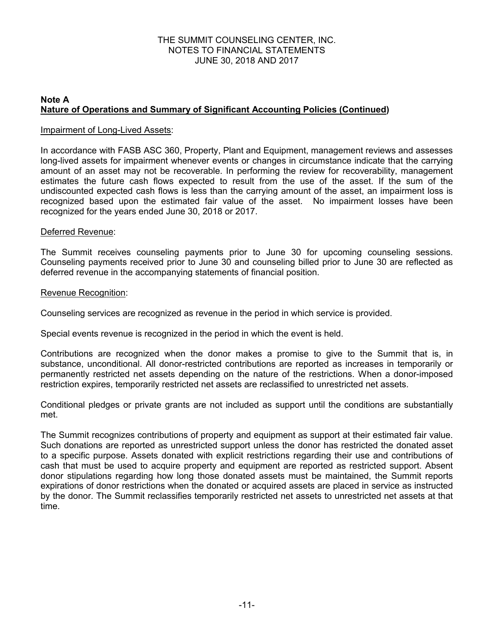## **Note A Nature of Operations and Summary of Significant Accounting Policies (Continued)**

#### Impairment of Long-Lived Assets:

In accordance with FASB ASC 360, Property, Plant and Equipment, management reviews and assesses long-lived assets for impairment whenever events or changes in circumstance indicate that the carrying amount of an asset may not be recoverable. In performing the review for recoverability, management estimates the future cash flows expected to result from the use of the asset. If the sum of the undiscounted expected cash flows is less than the carrying amount of the asset, an impairment loss is recognized based upon the estimated fair value of the asset. No impairment losses have been recognized for the years ended June 30, 2018 or 2017.

#### Deferred Revenue:

The Summit receives counseling payments prior to June 30 for upcoming counseling sessions. Counseling payments received prior to June 30 and counseling billed prior to June 30 are reflected as deferred revenue in the accompanying statements of financial position.

#### Revenue Recognition:

Counseling services are recognized as revenue in the period in which service is provided.

Special events revenue is recognized in the period in which the event is held.

Contributions are recognized when the donor makes a promise to give to the Summit that is, in substance, unconditional. All donor-restricted contributions are reported as increases in temporarily or permanently restricted net assets depending on the nature of the restrictions. When a donor-imposed restriction expires, temporarily restricted net assets are reclassified to unrestricted net assets.

Conditional pledges or private grants are not included as support until the conditions are substantially met.

The Summit recognizes contributions of property and equipment as support at their estimated fair value. Such donations are reported as unrestricted support unless the donor has restricted the donated asset to a specific purpose. Assets donated with explicit restrictions regarding their use and contributions of cash that must be used to acquire property and equipment are reported as restricted support. Absent donor stipulations regarding how long those donated assets must be maintained, the Summit reports expirations of donor restrictions when the donated or acquired assets are placed in service as instructed by the donor. The Summit reclassifies temporarily restricted net assets to unrestricted net assets at that time.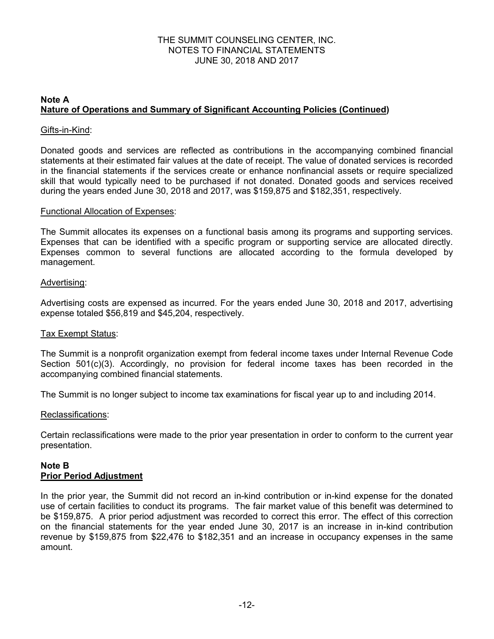## **Note A Nature of Operations and Summary of Significant Accounting Policies (Continued)**

#### Gifts-in-Kind:

Donated goods and services are reflected as contributions in the accompanying combined financial statements at their estimated fair values at the date of receipt. The value of donated services is recorded in the financial statements if the services create or enhance nonfinancial assets or require specialized skill that would typically need to be purchased if not donated. Donated goods and services received during the years ended June 30, 2018 and 2017, was \$159,875 and \$182,351, respectively.

#### Functional Allocation of Expenses:

The Summit allocates its expenses on a functional basis among its programs and supporting services. Expenses that can be identified with a specific program or supporting service are allocated directly. Expenses common to several functions are allocated according to the formula developed by management.

#### Advertising:

Advertising costs are expensed as incurred. For the years ended June 30, 2018 and 2017, advertising expense totaled \$56,819 and \$45,204, respectively.

#### Tax Exempt Status:

The Summit is a nonprofit organization exempt from federal income taxes under Internal Revenue Code Section 501(c)(3). Accordingly, no provision for federal income taxes has been recorded in the accompanying combined financial statements.

The Summit is no longer subject to income tax examinations for fiscal year up to and including 2014.

#### Reclassifications:

Certain reclassifications were made to the prior year presentation in order to conform to the current year presentation.

#### **Note B Prior Period Adjustment**

In the prior year, the Summit did not record an in-kind contribution or in-kind expense for the donated use of certain facilities to conduct its programs. The fair market value of this benefit was determined to be \$159,875. A prior period adjustment was recorded to correct this error. The effect of this correction on the financial statements for the year ended June 30, 2017 is an increase in in-kind contribution revenue by \$159,875 from \$22,476 to \$182,351 and an increase in occupancy expenses in the same amount.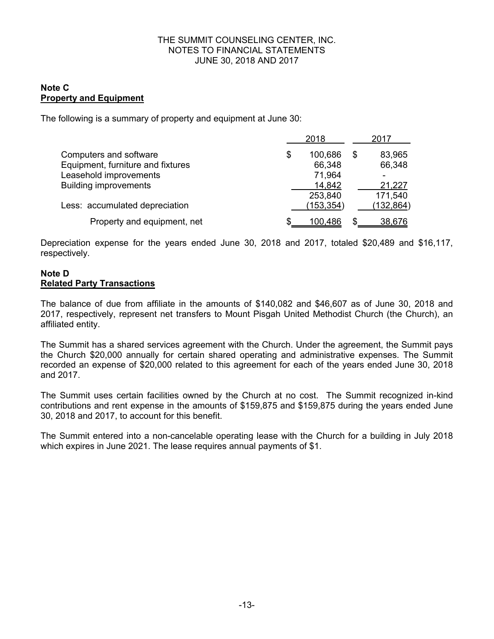## **Note C Property and Equipment**

The following is a summary of property and equipment at June 30:

|                                   | 2018          |   | 2017       |
|-----------------------------------|---------------|---|------------|
| Computers and software            | \$<br>100,686 | S | 83,965     |
| Equipment, furniture and fixtures | 66,348        |   | 66,348     |
| Leasehold improvements            | 71,964        |   |            |
| <b>Building improvements</b>      | 14,842        |   | 21,227     |
|                                   | 253,840       |   | 171,540    |
| Less: accumulated depreciation    | (153, 354)    |   | (132, 864) |
| Property and equipment, net       | 100,486       |   | 38,676     |

Depreciation expense for the years ended June 30, 2018 and 2017, totaled \$20,489 and \$16,117, respectively.

## **Note D Related Party Transactions**

The balance of due from affiliate in the amounts of \$140,082 and \$46,607 as of June 30, 2018 and 2017, respectively, represent net transfers to Mount Pisgah United Methodist Church (the Church), an affiliated entity.

The Summit has a shared services agreement with the Church. Under the agreement, the Summit pays the Church \$20,000 annually for certain shared operating and administrative expenses. The Summit recorded an expense of \$20,000 related to this agreement for each of the years ended June 30, 2018 and 2017.

The Summit uses certain facilities owned by the Church at no cost. The Summit recognized in-kind contributions and rent expense in the amounts of \$159,875 and \$159,875 during the years ended June 30, 2018 and 2017, to account for this benefit.

The Summit entered into a non-cancelable operating lease with the Church for a building in July 2018 which expires in June 2021. The lease requires annual payments of \$1.